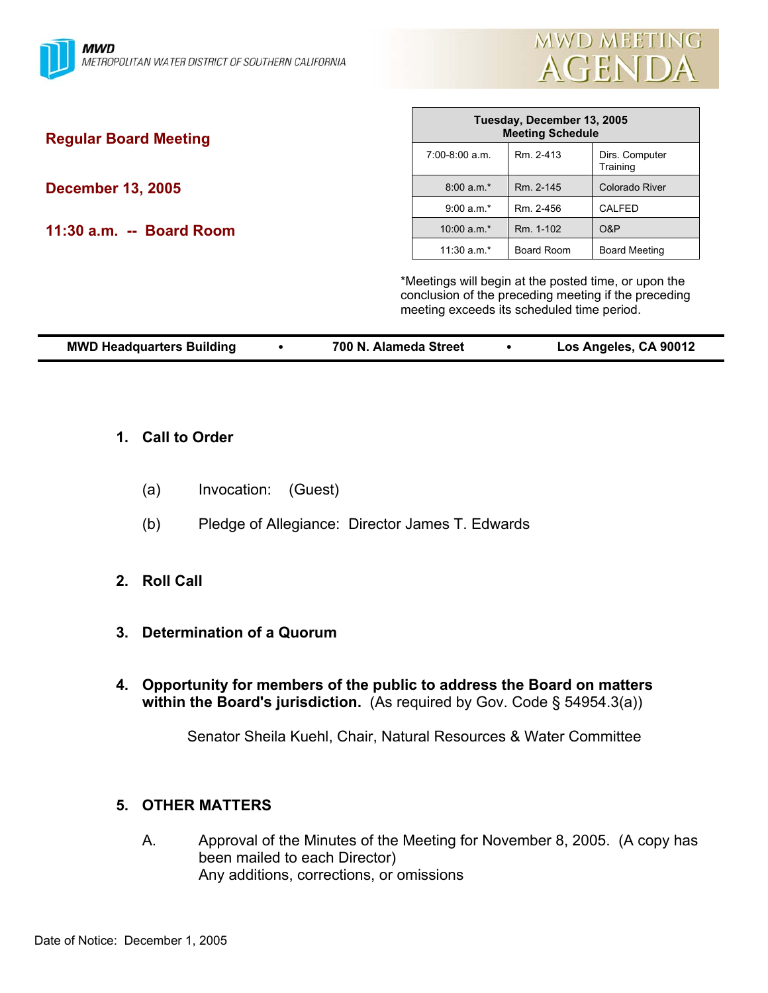

| <b>Regular Board Meeting</b>                                                                                                                               | Tuesday, December 13, 2005<br><b>Meeting Schedule</b> |            |                            |  |
|------------------------------------------------------------------------------------------------------------------------------------------------------------|-------------------------------------------------------|------------|----------------------------|--|
|                                                                                                                                                            | $7:00-8:00$ a.m.                                      | Rm. 2-413  | Dirs. Computer<br>Training |  |
| <b>December 13, 2005</b>                                                                                                                                   | $8:00 a.m.*$                                          | Rm. 2-145  | <b>Colorado River</b>      |  |
|                                                                                                                                                            | $9:00 a.m.*$                                          | Rm. 2-456  | CALFED                     |  |
| 11:30 a.m. -- Board Room                                                                                                                                   | 10:00 $a.m.*$                                         | Rm. 1-102  | O&P                        |  |
|                                                                                                                                                            | 11:30 $a.m.*$                                         | Board Room | <b>Board Meeting</b>       |  |
| *Meetings will begin at the posted time, or upon the<br>conclusion of the preceding meeting if the preceding<br>meeting exceeds its scheduled time period. |                                                       |            |                            |  |

Г

| <b>MWD Headquarters Building</b> | 700 N. Alameda Street |  | Los Angeles, CA 90012 |
|----------------------------------|-----------------------|--|-----------------------|
|----------------------------------|-----------------------|--|-----------------------|

- **1. Call to Order** 
	- (a) Invocation: (Guest)
	- (b) Pledge of Allegiance: Director James T. Edwards
- **2. Roll Call**
- **3. Determination of a Quorum**
- **4. Opportunity for members of the public to address the Board on matters within the Board's jurisdiction.** (As required by Gov. Code § 54954.3(a))

Senator Sheila Kuehl, Chair, Natural Resources & Water Committee

## **5. OTHER MATTERS**

 A. Approval of the Minutes of the Meeting for November 8, 2005. (A copy has been mailed to each Director) Any additions, corrections, or omissions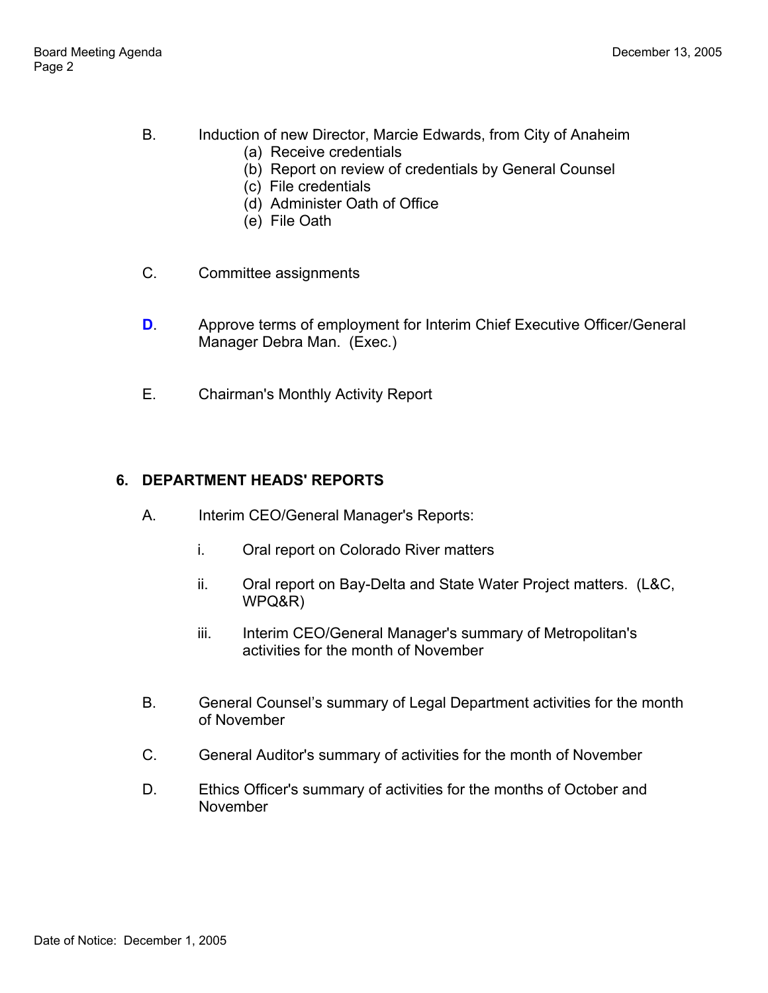- B. Induction of new Director, Marcie Edwards, from City of Anaheim
	- (a) Receive credentials
	- (b) Report on review of credentials by General Counsel
	- (c) File credentials
	- (d) Administer Oath of Office
	- (e) File Oath
- C. Committee assignments
- **D.** Approve terms of employment for Interim Chief Executive Officer/General Manager Debra Man. (Exec.)
- E. Chairman's Monthly Activity Report

# **6. DEPARTMENT HEADS' REPORTS**

- A. Interim CEO/General Manager's Reports:
	- i. Oral report on Colorado River matters
	- ii. Oral report on Bay-Delta and State Water Project matters. (L&C, WPQ&R)
	- iii. Interim CEO/General Manager's summary of Metropolitan's activities for the month of November
- B. General Counsel's summary of Legal Department activities for the month of November
- C. General Auditor's summary of activities for the month of November
- D. Ethics Officer's summary of activities for the months of October and November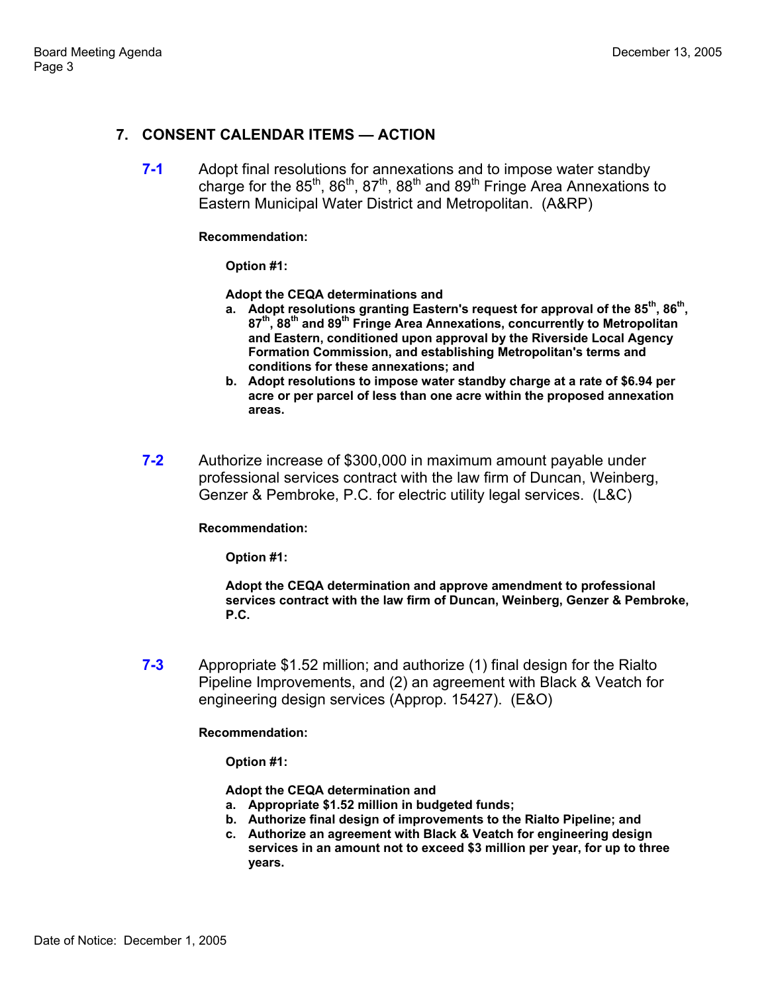## **7. CONSENT CALENDAR ITEMS — ACTION**

**7-1** Adopt final resolutions for annexations and to impose water standby charge for the  $85^{th}$ ,  $86^{th}$ ,  $87^{th}$ ,  $88^{th}$  and  $89^{th}$  Fringe Area Annexations to Eastern Municipal Water District and Metropolitan. (A&RP)

#### **Recommendation:**

**Option #1:** 

**Adopt the CEQA determinations and**

- **a. Adopt resolutions granting Eastern's request for approval of the 85th, 86th, 87th, 88th and 89th Fringe Area Annexations, concurrently to Metropolitan and Eastern, conditioned upon approval by the Riverside Local Agency Formation Commission, and establishing Metropolitan's terms and conditions for these annexations; and**
- **b. Adopt resolutions to impose water standby charge at a rate of \$6.94 per acre or per parcel of less than one acre within the proposed annexation areas.**
- **7-2** Authorize increase of \$300,000 in maximum amount payable under professional services contract with the law firm of Duncan, Weinberg, Genzer & Pembroke, P.C. for electric utility legal services. (L&C)

#### **Recommendation:**

**Option #1:** 

**Adopt the CEQA determination and approve amendment to professional services contract with the law firm of Duncan, Weinberg, Genzer & Pembroke, P.C.** 

**7-3** Appropriate \$1.52 million; and authorize (1) final design for the Rialto Pipeline Improvements, and (2) an agreement with Black & Veatch for engineering design services (Approp. 15427). (E&O)

**Recommendation:** 

**Option #1:** 

**Adopt the CEQA determination and**

- **a. Appropriate \$1.52 million in budgeted funds;**
- **b. Authorize final design of improvements to the Rialto Pipeline; and**
- **c. Authorize an agreement with Black & Veatch for engineering design services in an amount not to exceed \$3 million per year, for up to three years.**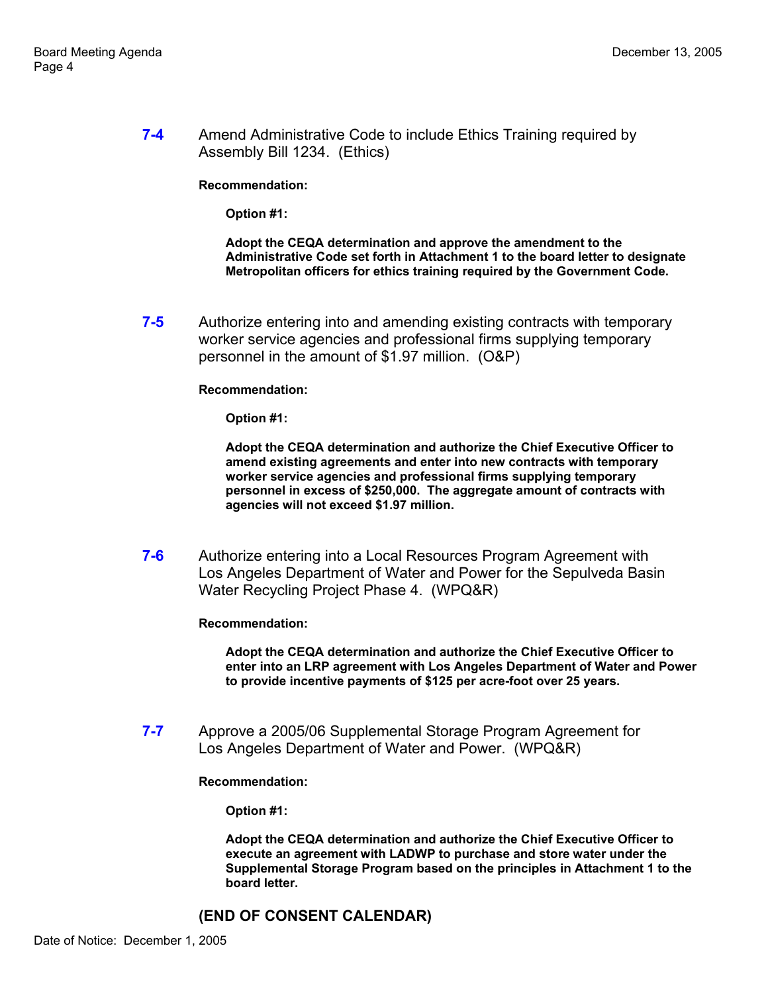**7-4** Amend Administrative Code to include Ethics Training required by Assembly Bill 1234. (Ethics)

**Recommendation:** 

**Option #1:** 

**Adopt the CEQA determination and approve the amendment to the Administrative Code set forth in Attachment 1 to the board letter to designate Metropolitan officers for ethics training required by the Government Code.** 

**7-5** Authorize entering into and amending existing contracts with temporary worker service agencies and professional firms supplying temporary personnel in the amount of \$1.97 million. (O&P)

#### **Recommendation:**

**Option #1:** 

**Adopt the CEQA determination and authorize the Chief Executive Officer to amend existing agreements and enter into new contracts with temporary worker service agencies and professional firms supplying temporary personnel in excess of \$250,000. The aggregate amount of contracts with agencies will not exceed \$1.97 million.** 

**7-6** Authorize entering into a Local Resources Program Agreement with Los Angeles Department of Water and Power for the Sepulveda Basin Water Recycling Project Phase 4. (WPQ&R)

**Recommendation:** 

**Adopt the CEQA determination and authorize the Chief Executive Officer to enter into an LRP agreement with Los Angeles Department of Water and Power to provide incentive payments of \$125 per acre-foot over 25 years.** 

**7-7** Approve a 2005/06 Supplemental Storage Program Agreement for Los Angeles Department of Water and Power. (WPQ&R)

#### **Recommendation:**

**Option #1:** 

**Adopt the CEQA determination and authorize the Chief Executive Officer to execute an agreement with LADWP to purchase and store water under the Supplemental Storage Program based on the principles in Attachment 1 to the board letter.** 

### **(END OF CONSENT CALENDAR)**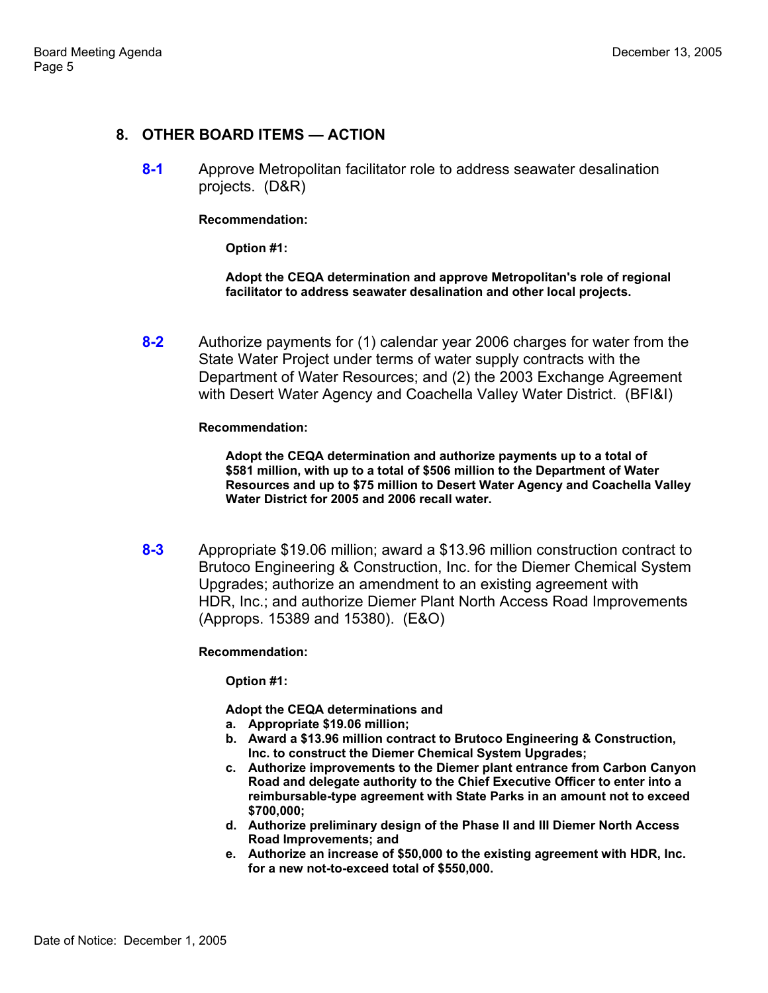### **8. OTHER BOARD ITEMS — ACTION**

**8-1** Approve Metropolitan facilitator role to address seawater desalination projects. (D&R)

**Recommendation:** 

**Option #1:** 

**Adopt the CEQA determination and approve Metropolitan's role of regional facilitator to address seawater desalination and other local projects.** 

**8-2** Authorize payments for (1) calendar year 2006 charges for water from the State Water Project under terms of water supply contracts with the Department of Water Resources; and (2) the 2003 Exchange Agreement with Desert Water Agency and Coachella Valley Water District. (BFI&I)

**Recommendation:** 

**Adopt the CEQA determination and authorize payments up to a total of \$581 million, with up to a total of \$506 million to the Department of Water Resources and up to \$75 million to Desert Water Agency and Coachella Valley Water District for 2005 and 2006 recall water.** 

**8-3** Appropriate \$19.06 million; award a \$13.96 million construction contract to Brutoco Engineering & Construction, Inc. for the Diemer Chemical System Upgrades; authorize an amendment to an existing agreement with HDR, Inc.; and authorize Diemer Plant North Access Road Improvements (Approps. 15389 and 15380). (E&O)

**Recommendation:** 

**Option #1:** 

**Adopt the CEQA determinations and**

- **a. Appropriate \$19.06 million;**
- **b. Award a \$13.96 million contract to Brutoco Engineering & Construction, Inc. to construct the Diemer Chemical System Upgrades;**
- **c. Authorize improvements to the Diemer plant entrance from Carbon Canyon Road and delegate authority to the Chief Executive Officer to enter into a reimbursable-type agreement with State Parks in an amount not to exceed \$700,000;**
- **d. Authorize preliminary design of the Phase II and III Diemer North Access Road Improvements; and**
- **e. Authorize an increase of \$50,000 to the existing agreement with HDR, Inc. for a new not-to-exceed total of \$550,000.**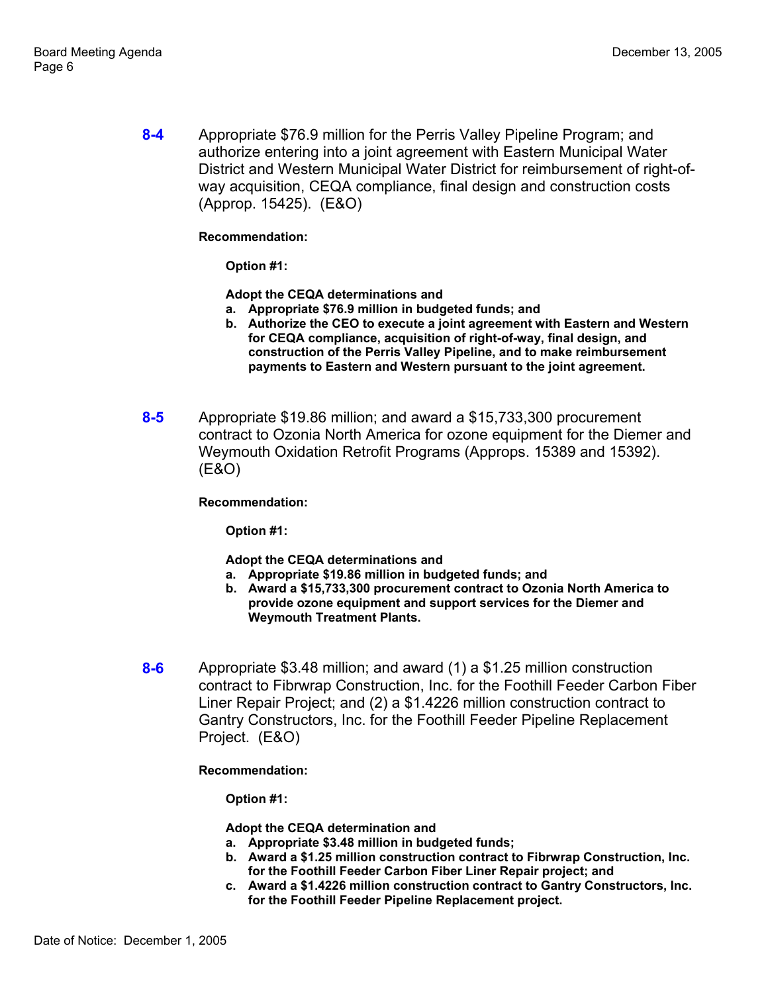**8-4** Appropriate \$76.9 million for the Perris Valley Pipeline Program; and authorize entering into a joint agreement with Eastern Municipal Water District and Western Municipal Water District for reimbursement of right-ofway acquisition, CEQA compliance, final design and construction costs (Approp. 15425). (E&O)

### **Recommendation:**

**Option #1:** 

**Adopt the CEQA determinations and**

- **a. Appropriate \$76.9 million in budgeted funds; and**
- **b. Authorize the CEO to execute a joint agreement with Eastern and Western for CEQA compliance, acquisition of right-of-way, final design, and construction of the Perris Valley Pipeline, and to make reimbursement payments to Eastern and Western pursuant to the joint agreement.**
- **8-5** Appropriate \$19.86 million; and award a \$15,733,300 procurement contract to Ozonia North America for ozone equipment for the Diemer and Weymouth Oxidation Retrofit Programs (Approps. 15389 and 15392). (E&O)

### **Recommendation:**

**Option #1:** 

**Adopt the CEQA determinations and**

- **a. Appropriate \$19.86 million in budgeted funds; and**
- **b. Award a \$15,733,300 procurement contract to Ozonia North America to provide ozone equipment and support services for the Diemer and Weymouth Treatment Plants.**
- **8-6** Appropriate \$3.48 million; and award (1) a \$1.25 million construction contract to Fibrwrap Construction, Inc. for the Foothill Feeder Carbon Fiber Liner Repair Project; and (2) a \$1.4226 million construction contract to Gantry Constructors, Inc. for the Foothill Feeder Pipeline Replacement Project. (E&O)

**Recommendation:** 

**Option #1:** 

**Adopt the CEQA determination and**

- **a. Appropriate \$3.48 million in budgeted funds;**
- **b. Award a \$1.25 million construction contract to Fibrwrap Construction, Inc. for the Foothill Feeder Carbon Fiber Liner Repair project; and**
- **c. Award a \$1.4226 million construction contract to Gantry Constructors, Inc. for the Foothill Feeder Pipeline Replacement project.**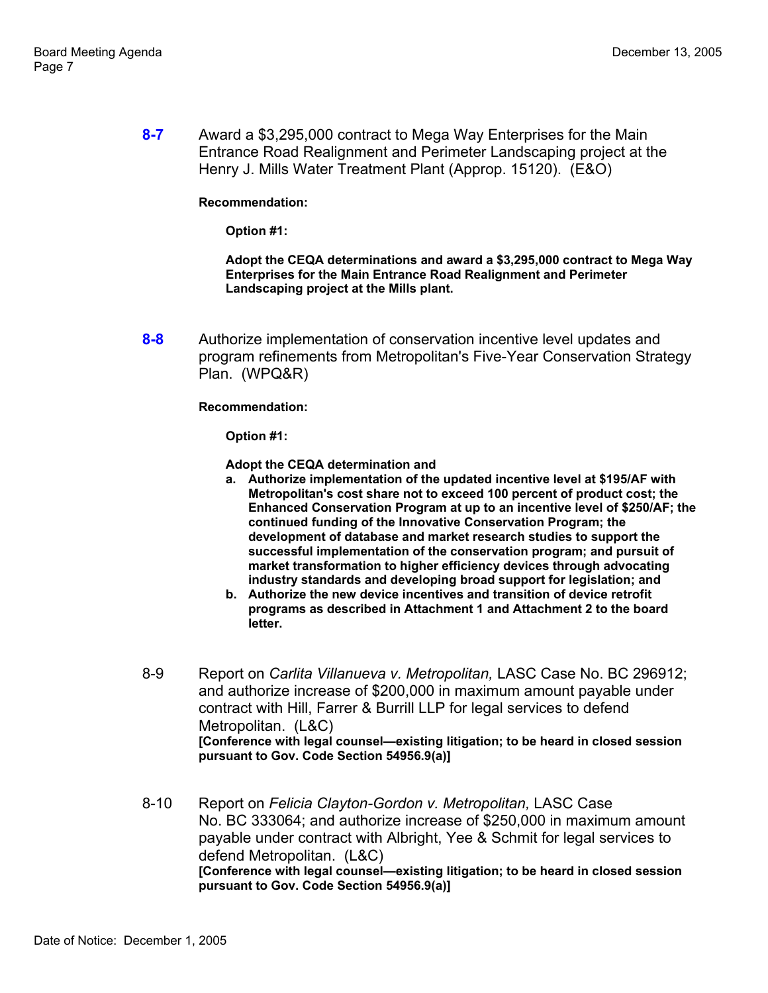**8-7** Award a \$3,295,000 contract to Mega Way Enterprises for the Main Entrance Road Realignment and Perimeter Landscaping project at the Henry J. Mills Water Treatment Plant (Approp. 15120). (E&O)

### **Recommendation:**

**Option #1:** 

**Adopt the CEQA determinations and award a \$3,295,000 contract to Mega Way Enterprises for the Main Entrance Road Realignment and Perimeter Landscaping project at the Mills plant.** 

**8-8** Authorize implementation of conservation incentive level updates and program refinements from Metropolitan's Five-Year Conservation Strategy Plan. (WPQ&R)

#### **Recommendation:**

**Option #1:** 

**Adopt the CEQA determination and**

- **a. Authorize implementation of the updated incentive level at \$195/AF with Metropolitan's cost share not to exceed 100 percent of product cost; the Enhanced Conservation Program at up to an incentive level of \$250/AF; the continued funding of the Innovative Conservation Program; the development of database and market research studies to support the successful implementation of the conservation program; and pursuit of market transformation to higher efficiency devices through advocating industry standards and developing broad support for legislation; and**
- **b. Authorize the new device incentives and transition of device retrofit programs as described in Attachment 1 and Attachment 2 to the board letter.**
- 8-9 Report on *Carlita Villanueva v. Metropolitan,* LASC Case No. BC 296912; and authorize increase of \$200,000 in maximum amount payable under contract with Hill, Farrer & Burrill LLP for legal services to defend Metropolitan. (L&C) **[Conference with legal counsel—existing litigation; to be heard in closed session pursuant to Gov. Code Section 54956.9(a)]**
- 8-10 Report on *Felicia Clayton-Gordon v. Metropolitan,* LASC Case No. BC 333064; and authorize increase of \$250,000 in maximum amount payable under contract with Albright, Yee & Schmit for legal services to defend Metropolitan. (L&C) **[Conference with legal counsel—existing litigation; to be heard in closed session pursuant to Gov. Code Section 54956.9(a)]**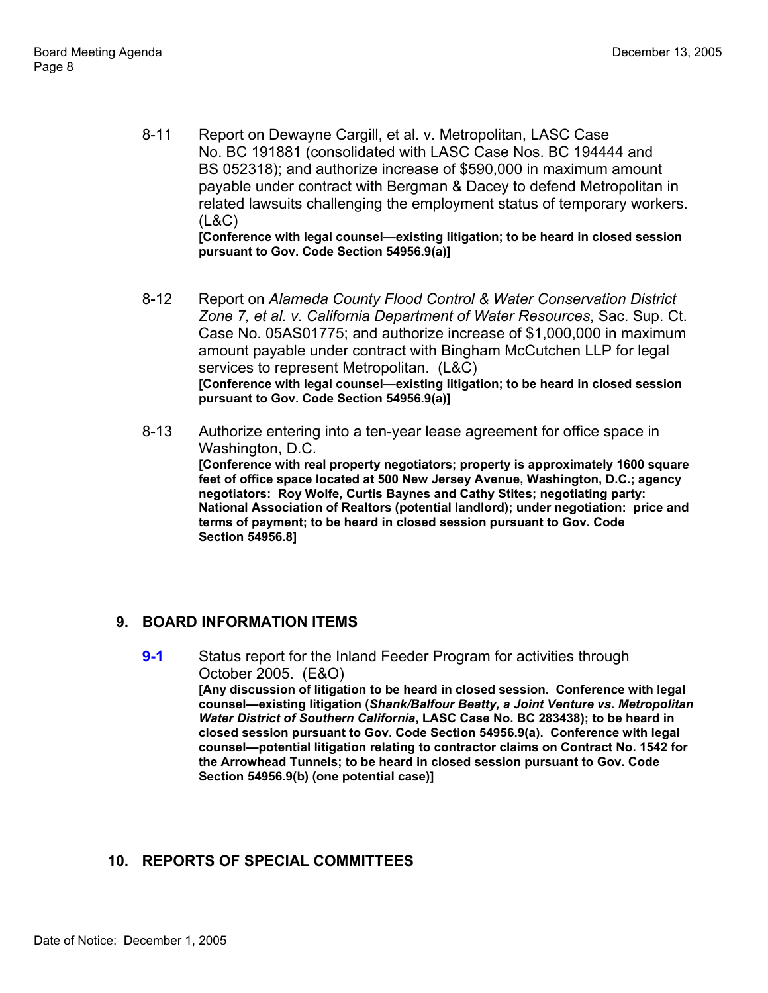- 8-11 Report on Dewayne Cargill, et al. v. Metropolitan, LASC Case No. BC 191881 (consolidated with LASC Case Nos. BC 194444 and BS 052318); and authorize increase of \$590,000 in maximum amount payable under contract with Bergman & Dacey to defend Metropolitan in related lawsuits challenging the employment status of temporary workers. (L&C) **[Conference with legal counsel—existing litigation; to be heard in closed session pursuant to Gov. Code Section 54956.9(a)]**
- 8-12 Report on *Alameda County Flood Control & Water Conservation District Zone 7, et al. v. California Department of Water Resources*, Sac. Sup. Ct. Case No. 05AS01775; and authorize increase of \$1,000,000 in maximum amount payable under contract with Bingham McCutchen LLP for legal services to represent Metropolitan. (L&C) **[Conference with legal counsel—existing litigation; to be heard in closed session pursuant to Gov. Code Section 54956.9(a)]**
- 8-13 Authorize entering into a ten-year lease agreement for office space in Washington, D.C. **[Conference with real property negotiators; property is approximately 1600 square feet of office space located at 500 New Jersey Avenue, Washington, D.C.; agency negotiators: Roy Wolfe, Curtis Baynes and Cathy Stites; negotiating party: National Association of Realtors (potential landlord); under negotiation: price and terms of payment; to be heard in closed session pursuant to Gov. Code Section 54956.8]**

# **9. BOARD INFORMATION ITEMS**

**9-1** Status report for the Inland Feeder Program for activities through October 2005. (E&O) **[Any discussion of litigation to be heard in closed session. Conference with legal counsel—existing litigation (***Shank/Balfour Beatty, a Joint Venture vs. Metropolitan Water District of Southern California***, LASC Case No. BC 283438); to be heard in closed session pursuant to Gov. Code Section 54956.9(a). Conference with legal counsel—potential litigation relating to contractor claims on Contract No. 1542 for the Arrowhead Tunnels; to be heard in closed session pursuant to Gov. Code Section 54956.9(b) (one potential case)]**

# **10. REPORTS OF SPECIAL COMMITTEES**